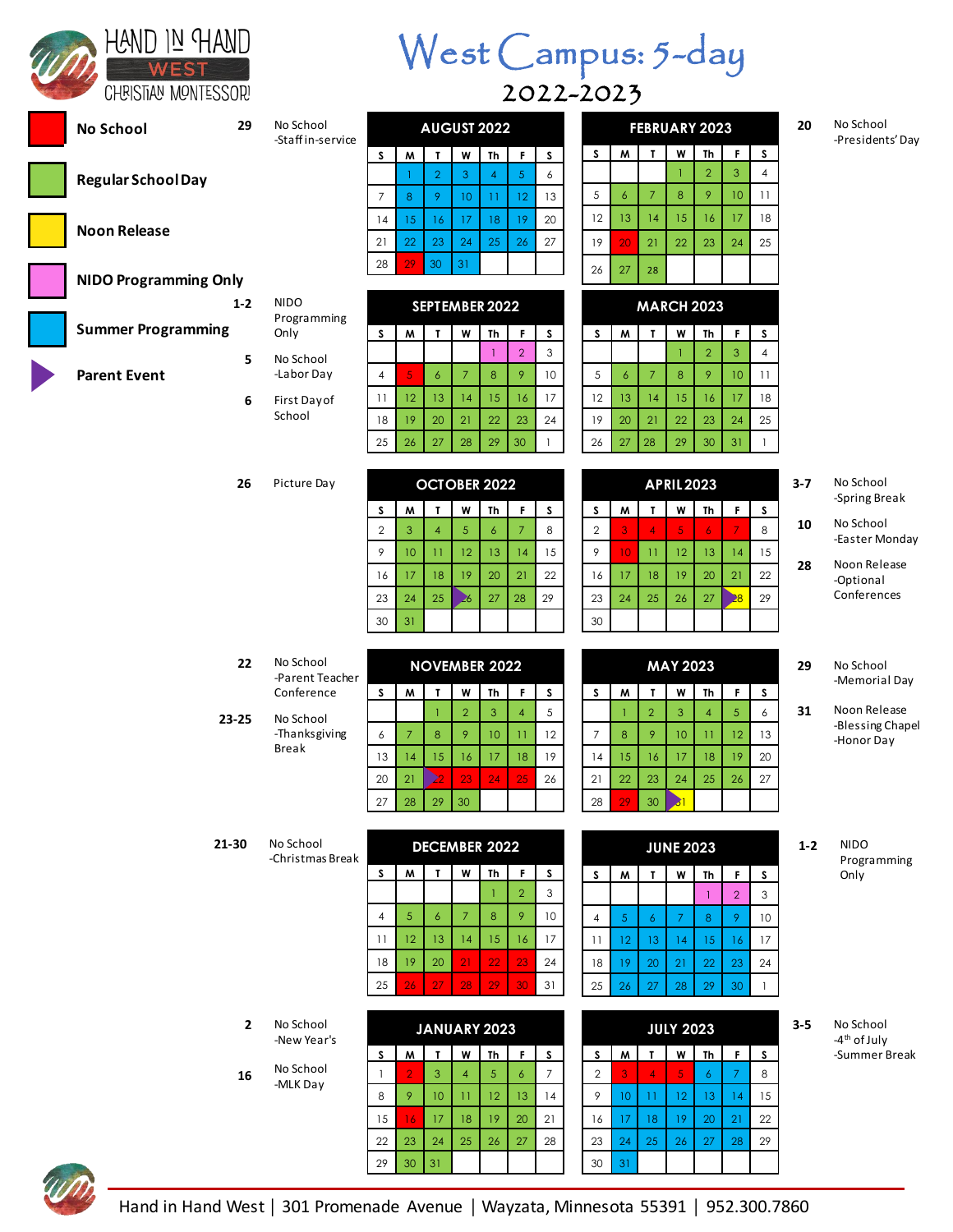| (AND IN HAND        |
|---------------------|
|                     |
| {BISTIAN MONTESSOR! |

**No School**

**Regular School Day**

**NIDO Programming Only**

**Summer Programming**

**Noon Release**

**Parent Event**

## West Campus: 5-day 2022-2023

| 29             | No School<br>-Staff in-service |                |                |                    | <b>AUGUST 2022</b>   |                 |                 |                 |                |                  |                | <b>FEBRUARY 2023</b>  |                 |                 |                    | 20      |
|----------------|--------------------------------|----------------|----------------|--------------------|----------------------|-----------------|-----------------|-----------------|----------------|------------------|----------------|-----------------------|-----------------|-----------------|--------------------|---------|
|                |                                | S              | W              | T                  | W                    | Th              | F.              | S               | S              | M                | T              | W                     | Th              | F               | S                  |         |
|                |                                |                | 1              | $\overline{2}$     | 3                    | $\overline{4}$  | 5               | 6               |                |                  |                | T                     | $\overline{2}$  | 3               | $\overline{4}$     |         |
|                |                                | 7              | 8              | 9                  | 10                   | $\overline{11}$ | 12              | 13              | 5              | $\boldsymbol{6}$ | $\overline{7}$ | 8                     | 9               | 10              | 11                 |         |
|                |                                | 14             | 15             | 16                 | 17                   | 18              | 19              | 20              | 12             | 13               | 14             | 15                    | 16              | 17              | 18                 |         |
|                |                                | 21             | 22             | 23                 | 24                   | 25              | 26              | 27              | 19             | 20               | 21             | 22                    | 23              | 24              | 25                 |         |
|                |                                | 28             | 29             | 30                 | 31                   |                 |                 |                 | 26             | 27               | 28             |                       |                 |                 |                    |         |
| ly<br>$1 - 2$  | <b>NIDO</b>                    |                |                |                    |                      |                 |                 |                 |                |                  |                |                       |                 |                 |                    |         |
|                | Programming                    |                |                |                    | SEPTEMBER 2022       |                 |                 |                 |                |                  |                | <b>MARCH 2023</b>     |                 |                 |                    |         |
|                | Only                           | S.             | W              | T                  | W                    | Th              | F               | S               | S              | W                | T              | W                     | Th              | F               | S                  |         |
| 5              | No School                      |                |                |                    |                      | $\mathbf{1}$    | $\overline{2}$  | 3               |                |                  |                | T                     | $\overline{2}$  | 3               | $\overline{4}$     |         |
|                | -Labor Day                     | 4              | $\overline{5}$ | $\boldsymbol{6}$   | $\overline{7}$       | 8               | 9               | 10              | 5              | 6                | $\overline{7}$ | 8                     | 9               | 10              | 11                 |         |
| 6              | First Day of<br>School         | 11             | 12             | 13                 | 14                   | 15              | 16              | 17              | 12             | 13               | 14             | 15                    | 16              | 17              | 18                 |         |
|                |                                | 18<br>25       | 19<br>26       | 20<br>27           | 21<br>28             | 22<br>29        | 23<br>30        | 24<br>1         | 19<br>26       | 20<br>27         | 21<br>28       | 22<br>29              | 23<br>30        | 24<br>31        | 25<br>$\mathbf{1}$ |         |
|                |                                |                |                |                    |                      |                 |                 |                 |                |                  |                |                       |                 |                 |                    |         |
| 26             | Picture Day                    |                |                |                    | <b>OCTOBER 2022</b>  |                 |                 |                 |                |                  |                | <b>APRIL2023</b>      |                 |                 |                    | 3-7     |
|                |                                | S              | W              | T                  | W                    | Th              | F               | S               | S              | W                | T              | W                     | Th              | F               | S                  |         |
|                |                                | $\overline{2}$ | 3              | $\overline{4}$     | 5                    | 6               | $\overline{7}$  | 8               | $\overline{2}$ | 3                | $\overline{4}$ | 5                     | $\overline{6}$  | 7               | 8                  | 10      |
|                |                                | 9              | 10             | $\overline{11}$    | 12                   | 13              | 4               | 15              | 9              | 10 <sup>°</sup>  | 11             | 12                    | 13              | 4               | 15                 |         |
|                |                                | 16             | 17             | 18                 | 19                   | 20              | 21              | 22              | 16             | 17               | 18             | 19                    | 20              | 21              | 22                 | 28      |
|                |                                | 23             | 24             | 25                 | $\geqslant$          | 27              | 28              | 29              | 23             | 24               | 25             | 26                    | 27              | $\overline{28}$ | 29                 |         |
|                |                                | 30             | 31             |                    |                      |                 |                 |                 | 30             |                  |                |                       |                 |                 |                    |         |
|                |                                |                |                |                    |                      |                 |                 |                 |                |                  |                |                       |                 |                 |                    |         |
| 22             | No School<br>-Parent Teacher   |                |                |                    | <b>NOVEMBER 2022</b> |                 |                 |                 |                |                  |                | <b>MAY 2023</b>       |                 |                 |                    | 29      |
|                | Conference                     | S.             | M              | T                  | W                    | Th              | F               | s               | S              | W                | T              | W                     | Th              | F               | S                  |         |
| }-25           | No School                      |                |                | $\mathbf{1}$       | $\overline{2}$       | 3               | $\overline{4}$  | 5               |                | T                | $\overline{2}$ | 3                     | $\overline{4}$  | 5               | 6                  | 31      |
|                | -Thanksgiving<br><b>Break</b>  | 6              | $\overline{7}$ | 8                  | 9                    | 10              | $\overline{11}$ | 12              | 7              | 8                | 9              | 10                    | $\overline{11}$ | 12              | 13                 |         |
|                |                                | 13             | 4              | 15<br>$\mathbf{z}$ | 16                   | 17              | 18              | 19              | 14             | 15               | 16             | 17                    | 18              | 19              | 20                 |         |
|                |                                | 20             | 21<br>28       | 29                 | 23<br>30             | 24              | 25              | 26              | 21<br>28       | 22<br>29         | 23<br>30       | 24<br>$\overline{31}$ | 25              | 26              | 27                 |         |
|                |                                | 27             |                |                    |                      |                 |                 |                 |                |                  |                |                       |                 |                 |                    |         |
| -30            | No School                      |                |                |                    | <b>DECEMBER 2022</b> |                 |                 |                 |                |                  |                | <b>JUNE 2023</b>      |                 |                 |                    | $1 - 2$ |
|                | -Christmas Break               | S              | W              | T                  | W                    | Th              | F.              | S               | S              | M                | T              | W                     | Th              | F               |                    |         |
|                |                                |                |                |                    |                      | 1               | $\overline{2}$  | 3               |                |                  |                |                       | $\mathbf{1}$    | $\overline{2}$  | s<br>3             |         |
|                |                                | 4              | 5              | 6                  | 7                    | 8               | 9               | 10 <sup>°</sup> | $\overline{4}$ | 5                | 6              | $\overline{7}$        | 8               | 9               | 10                 |         |
|                |                                | 11             | 12             | 13                 | 14                   | 15              | 16              | 17              | 11             | 12               | 13             | 14                    | 15              | 16              | 17                 |         |
|                |                                | 18             | 19             | 20                 | 21                   | 22              | 23              | 24              | 18             | 19               | 20             | 21                    | 22              | 23              | 24                 |         |
|                |                                | 25             | 26             | 27                 | 28                   | 29              | 30              | 31              | 25             | 26               | 27             | 28                    | 29              | 30              | $\mathbf{1}$       |         |
|                |                                |                |                |                    |                      |                 |                 |                 |                |                  |                |                       |                 |                 |                    |         |
| $\overline{2}$ | No School<br>-New Year's       |                |                |                    | JANUARY 2023         |                 |                 |                 |                |                  |                | <b>JULY 2023</b>      |                 |                 |                    | $3 - 5$ |
|                |                                | S              | M              | T                  | W                    | Th              | F               | S               | S              | M                | T              | W                     | Th              | F               | S                  |         |
|                | No School                      |                |                |                    |                      |                 |                 |                 |                |                  |                |                       |                 |                 |                    |         |

**20** No School -Presidents' Day

| 3-7 | No School     |
|-----|---------------|
|     | -Spring Break |

- **10** No School -Easter Monday
- **28** Noon Release -Optional Conferences

#### **29** No School -Memorial Day

- **31** Noon Release -Blessing Chapel -Honor Day
- **1-2** NIDO Programming Only

**3-5** No School -4<sup>th</sup> of July -Summer Break

|                |                               | 16 | 17             | 18             | 19                   | 20             | 21              | 22             | 16             | 17 | 18              | 19               | 20              | 21             | 22           |
|----------------|-------------------------------|----|----------------|----------------|----------------------|----------------|-----------------|----------------|----------------|----|-----------------|------------------|-----------------|----------------|--------------|
|                |                               | 23 | 24             | 25             | 26                   | 27             | 28              | 29             | 23             | 24 | 25              | 26               | 27              | $\overline{8}$ | 29           |
|                |                               | 30 | 31             |                |                      |                |                 |                | 30             |    |                 |                  |                 |                |              |
|                |                               |    |                |                |                      |                |                 |                |                |    |                 |                  |                 |                |              |
| 22             | No School<br>-Parent Teacher  |    |                |                | <b>NOVEMBER 2022</b> |                |                 |                |                |    |                 | <b>MAY 2023</b>  |                 |                |              |
|                | Conference                    | s  | W              | T              | W                    | Th             | F               | S              | s              | M  | T               | W                | Th              | F              | s            |
| $23 - 25$      | No School                     |    |                | T              | $\overline{2}$       | 3              | $\overline{4}$  | 5              |                | T  | $\overline{2}$  | 3                | $\overline{4}$  | 5              | 6            |
|                | -Thanksgiving<br><b>Break</b> | 6  | $\overline{7}$ | 8              | 9                    | 10             | $\overline{11}$ | 12             | $\overline{7}$ | 8  | 9               | 10               | $\overline{11}$ | 12             | 13           |
|                |                               | 13 | 14             | 15             | 16                   | 17             | 18              | 19             | 14             | 15 | 16              | 17               | 18              | 19             | 20           |
|                |                               | 20 | 21             | $\geq$         | 23                   | 24             | 25              | 26             | 21             | 22 | 23              | 24               | 25              | 26             | 27           |
|                |                               | 27 | 28             | 29             | 30                   |                |                 |                | 28             | 29 | 30              | $\overline{31}$  |                 |                |              |
|                |                               |    |                |                |                      |                |                 |                |                |    |                 |                  |                 |                |              |
| $21 - 30$      | No School<br>-Christmas Break |    |                |                | <b>DECEMBER 2022</b> |                |                 |                |                |    |                 | <b>JUNE 2023</b> |                 |                |              |
|                |                               | s  | M              | T              | W                    | Th             | F               | S              | S              | M  | T               | W                | Th              | F              | s            |
|                |                               |    |                |                |                      | 1              | $\overline{2}$  | 3              |                |    |                 |                  | $\mathbf{1}$    | $\overline{2}$ | 3            |
|                |                               | 4  | 5              | 6              | $\overline{7}$       | 8              | 9               | 10             | 4              | 5  | $\overline{6}$  | $\overline{7}$   | 8               | 9              | 10           |
|                |                               | 11 | 12             | 13             | 14                   | 15             | 16              | 17             | 11             | 12 | 13              | 14               | 15              | 16             | 17           |
|                |                               | 18 | 19             | 20             | 21                   | 22             | 23              | 24             | 18             | 19 | 20              | 21               | 22              | 23             | 24           |
|                |                               | 25 | 26             | 27             | 28                   | 29             | 30              | 31             | 25             | 26 | 27              | 28               | 29              | 30             | $\mathbf{1}$ |
|                |                               |    |                |                |                      |                |                 |                |                |    |                 |                  |                 |                |              |
| $\overline{2}$ | No School<br>-New Year's      |    |                |                | JANUARY 2023         |                |                 |                |                |    |                 | <b>JULY 2023</b> |                 |                |              |
|                |                               | S  | M              | T              | W                    | Th             | F               | S              | S              | M  | T               | W                | Th              | F              | s            |
| 16             | No School<br>-MLK Day         | 1  | $\overline{2}$ | $\overline{3}$ | $\overline{4}$       | $\overline{5}$ | 6               | $\overline{7}$ | $\overline{2}$ | 3  | $\overline{4}$  | $\overline{5}$   | $\overline{6}$  | $\overline{7}$ | 8            |
|                |                               | 8  | 9              | 10             | $\overline{11}$      | 12             | 13              | 14             | 9              | 10 | $\overline{11}$ | 12               | 13              | 14             | 15           |
|                |                               | 15 | 16             | 17             | 18                   | 19             | 20              | 21             | 16             | 17 | 18              | 19               | 20              | 21             | 22           |
|                |                               | 22 | 23             | 24             | 25                   | 26             | 27              | 28             | 23             | 24 | 25              | 26               | 27              | 28             | 29           |
|                |                               | 29 | 30             | 31             |                      |                |                 |                | 30             | 31 |                 |                  |                 |                |              |